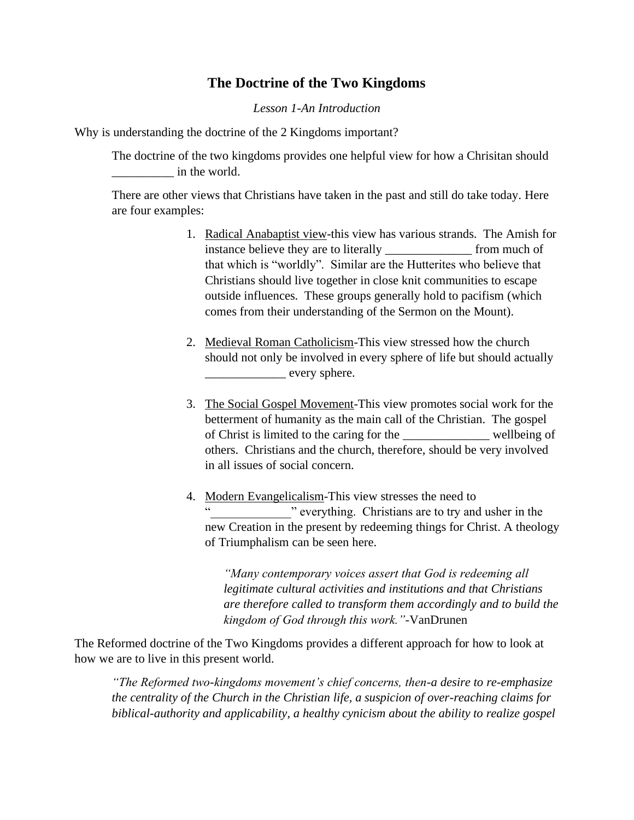## **The Doctrine of the Two Kingdoms**

## *Lesson 1-An Introduction*

Why is understanding the doctrine of the 2 Kingdoms important?

The doctrine of the two kingdoms provides one helpful view for how a Chrisitan should \_\_\_\_\_\_\_\_\_\_ in the world.

There are other views that Christians have taken in the past and still do take today. Here are four examples:

- 1. Radical Anabaptist view-this view has various strands. The Amish for instance believe they are to literally \_\_\_\_\_\_\_\_\_\_\_\_\_\_ from much of that which is "worldly". Similar are the Hutterites who believe that Christians should live together in close knit communities to escape outside influences. These groups generally hold to pacifism (which comes from their understanding of the Sermon on the Mount).
- 2. Medieval Roman Catholicism-This view stressed how the church should not only be involved in every sphere of life but should actually every sphere.
- 3. The Social Gospel Movement-This view promotes social work for the betterment of humanity as the main call of the Christian. The gospel of Christ is limited to the caring for the \_\_\_\_\_\_\_\_\_\_\_\_\_\_ wellbeing of others. Christians and the church, therefore, should be very involved in all issues of social concern.
- 4. Modern Evangelicalism-This view stresses the need to " everything. Christians are to try and usher in the new Creation in the present by redeeming things for Christ. A theology of Triumphalism can be seen here.

*"Many contemporary voices assert that God is redeeming all legitimate cultural activities and institutions and that Christians are therefore called to transform them accordingly and to build the kingdom of God through this work."-*VanDrunen

The Reformed doctrine of the Two Kingdoms provides a different approach for how to look at how we are to live in this present world.

*"The Reformed two-kingdoms movement's chief concerns, then-a desire to re-emphasize the centrality of the Church in the Christian life, a suspicion of over-reaching claims for biblical-authority and applicability, a healthy cynicism about the ability to realize gospel*